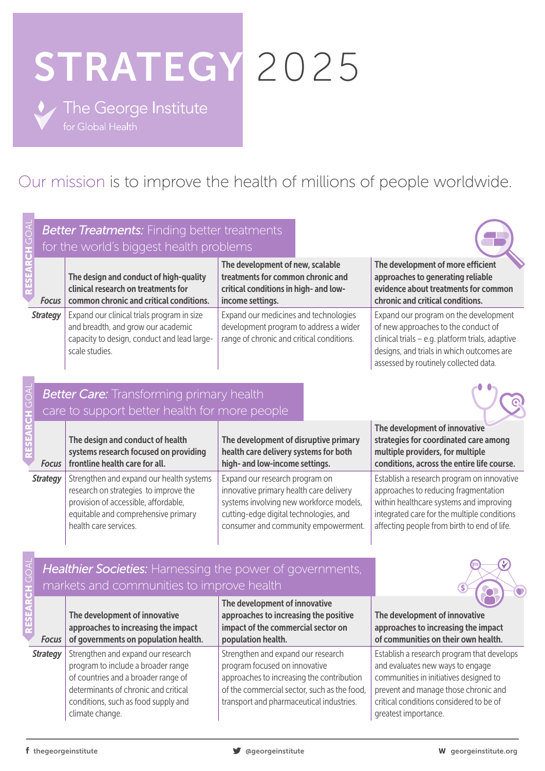# STRATEGY 2025

• The George Institute

## Our mission is to improve the health of millions of people worldwide.

|                 |                                                                                                        | <b>Better Treatments:</b> Finding better treatments<br>for the world's biggest health problems                                                                                                                    |                                                                                                                                                                                                             |                                                                                                                                                                                                                                     |  |  |
|-----------------|--------------------------------------------------------------------------------------------------------|-------------------------------------------------------------------------------------------------------------------------------------------------------------------------------------------------------------------|-------------------------------------------------------------------------------------------------------------------------------------------------------------------------------------------------------------|-------------------------------------------------------------------------------------------------------------------------------------------------------------------------------------------------------------------------------------|--|--|
|                 | <b>Focus</b>                                                                                           | The design and conduct of high-quality<br>clinical research on treatments for<br>common chronic and critical conditions.                                                                                          | The development of new, scalable<br>treatments for common chronic and<br>critical conditions in high- and low-<br>income settings.                                                                          | The development of more efficient<br>approaches to generating reliable<br>evidence about treatments for common<br>chronic and critical conditions.                                                                                  |  |  |
| <b>Strategy</b> |                                                                                                        | Expand our clinical trials program in size<br>and breadth, and grow our academic<br>capacity to design, conduct and lead large-<br>scale studies.                                                                 | Expand our medicines and technologies<br>development program to address a wider<br>range of chronic and critical conditions.                                                                                | Expand our program on the development<br>of new approaches to the conduct of<br>clinical trials - e.g. platform trials, adaptive<br>designs, and trials in which outcomes are<br>assessed by routinely collected data.              |  |  |
|                 |                                                                                                        | <b>Better Care:</b> Transforming primary health<br>care to support better health for more people                                                                                                                  |                                                                                                                                                                                                             |                                                                                                                                                                                                                                     |  |  |
|                 | <b>Focus</b>                                                                                           | The design and conduct of health<br>systems research focused on providing<br>frontline health care for all.                                                                                                       | The development of disruptive primary<br>health care delivery systems for both<br>high- and low-income settings.                                                                                            | The development of innovative<br>strategies for coordinated care among<br>multiple providers, for multiple<br>conditions, across the entire life course.                                                                            |  |  |
| <b>Strategy</b> |                                                                                                        | Strengthen and expand our health systems<br>research on strategies to improve the<br>provision of accessible, affordable,<br>equitable and comprehensive primary<br>health care services.                         | Expand our research program on<br>innovative primary health care delivery<br>systems involving new workforce models,<br>cutting-edge digital technologies, and<br>consumer and community empowerment.       | Establish a research program on innovative<br>approaches to reducing fragmentation<br>within healthcare systems and improving<br>integrated care for the multiple conditions<br>affecting people from birth to end of life.         |  |  |
|                 | Healthier Societies: Harnessing the power of governments,<br>markets and communities to improve health |                                                                                                                                                                                                                   |                                                                                                                                                                                                             |                                                                                                                                                                                                                                     |  |  |
|                 | <b>Focus</b>                                                                                           | The development of innovative<br>approaches to increasing the impact<br>of governments on population health.                                                                                                      | The development of innovative<br>approaches to increasing the positive<br>impact of the commercial sector on<br>population health.                                                                          | The development of innovative<br>approaches to increasing the impact<br>of communities on their own health.                                                                                                                         |  |  |
|                 | <b>Strategy</b>                                                                                        | Strengthen and expand our research<br>program to include a broader range<br>of countries and a broader range of<br>determinants of chronic and critical<br>conditions, such as food supply and<br>climate change. | Strengthen and expand our research<br>program focused on innovative<br>approaches to increasing the contribution<br>of the commercial sector, such as the food,<br>transport and pharmaceutical industries. | Establish a research program that develops<br>and evaluates new ways to engage<br>communities in initiatives designed to<br>prevent and manage those chronic and<br>critical conditions considered to be of<br>greatest importance. |  |  |